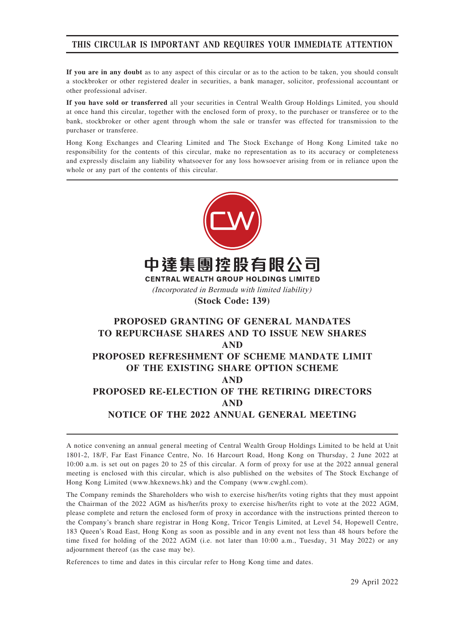## THIS CIRCULAR IS IMPORTANT AND REQUIRES YOUR IMMEDIATE ATTENTION

If you are in any doubt as to any aspect of this circular or as to the action to be taken, you should consult a stockbroker or other registered dealer in securities, a bank manager, solicitor, professional accountant or other professional adviser.

If you have sold or transferred all your securities in Central Wealth Group Holdings Limited, you should at once hand this circular, together with the enclosed form of proxy, to the purchaser or transferee or to the bank, stockbroker or other agent through whom the sale or transfer was effected for transmission to the purchaser or transferee.

Hong Kong Exchanges and Clearing Limited and The Stock Exchange of Hong Kong Limited take no responsibility for the contents of this circular, make no representation as to its accuracy or completeness and expressly disclaim any liability whatsoever for any loss howsoever arising from or in reliance upon the whole or any part of the contents of this circular.



A notice convening an annual general meeting of Central Wealth Group Holdings Limited to be held at Unit 1801-2, 18/F, Far East Finance Centre, No. 16 Harcourt Road, Hong Kong on Thursday, 2 June 2022 at 10:00 a.m. is set out on pages 20 to 25 of this circular. A form of proxy for use at the 2022 annual general meeting is enclosed with this circular, which is also published on the websites of The Stock Exchange of Hong Kong Limited (www.hkexnews.hk) and the Company (www.cwghl.com).

The Company reminds the Shareholders who wish to exercise his/her/its voting rights that they must appoint the Chairman of the 2022 AGM as his/her/its proxy to exercise his/her/its right to vote at the 2022 AGM, please complete and return the enclosed form of proxy in accordance with the instructions printed thereon to the Company's branch share registrar in Hong Kong, Tricor Tengis Limited, at Level 54, Hopewell Centre, 183 Queen's Road East, Hong Kong as soon as possible and in any event not less than 48 hours before the time fixed for holding of the 2022 AGM (i.e. not later than 10:00 a.m., Tuesday, 31 May 2022) or any adjournment thereof (as the case may be).

References to time and dates in this circular refer to Hong Kong time and dates.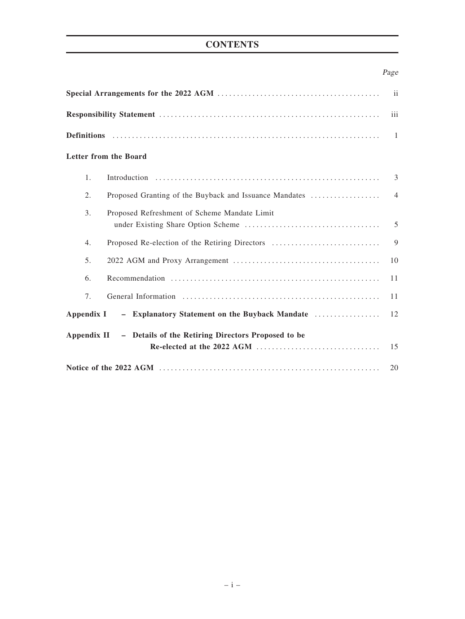# **CONTENTS**

# Page

| iii            |                                                                |                |  |  |
|----------------|----------------------------------------------------------------|----------------|--|--|
|                |                                                                |                |  |  |
|                | Letter from the Board                                          |                |  |  |
| 1.             |                                                                | 3              |  |  |
| 2.             | Proposed Granting of the Buyback and Issuance Mandates         | $\overline{4}$ |  |  |
| 3.             | Proposed Refreshment of Scheme Mandate Limit                   | 5              |  |  |
| 4.             | Proposed Re-election of the Retiring Directors                 | 9              |  |  |
| 5 <sub>1</sub> |                                                                | 10             |  |  |
| 6.             |                                                                | 11             |  |  |
| 7.             |                                                                | 11             |  |  |
| Appendix I     | - Explanatory Statement on the Buyback Mandate                 | 12             |  |  |
|                | Appendix II - Details of the Retiring Directors Proposed to be | 15             |  |  |
|                |                                                                | 20             |  |  |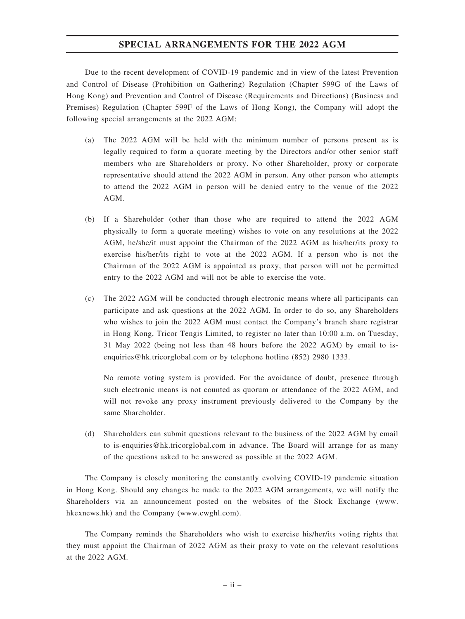### SPECIAL ARRANGEMENTS FOR THE 2022 AGM

Due to the recent development of COVID-19 pandemic and in view of the latest Prevention and Control of Disease (Prohibition on Gathering) Regulation (Chapter 599G of the Laws of Hong Kong) and Prevention and Control of Disease (Requirements and Directions) (Business and Premises) Regulation (Chapter 599F of the Laws of Hong Kong), the Company will adopt the following special arrangements at the 2022 AGM:

- (a) The 2022 AGM will be held with the minimum number of persons present as is legally required to form a quorate meeting by the Directors and/or other senior staff members who are Shareholders or proxy. No other Shareholder, proxy or corporate representative should attend the 2022 AGM in person. Any other person who attempts to attend the 2022 AGM in person will be denied entry to the venue of the 2022 AGM.
- (b) If a Shareholder (other than those who are required to attend the 2022 AGM physically to form a quorate meeting) wishes to vote on any resolutions at the 2022 AGM, he/she/it must appoint the Chairman of the 2022 AGM as his/her/its proxy to exercise his/her/its right to vote at the 2022 AGM. If a person who is not the Chairman of the 2022 AGM is appointed as proxy, that person will not be permitted entry to the 2022 AGM and will not be able to exercise the vote.
- (c) The 2022 AGM will be conducted through electronic means where all participants can participate and ask questions at the 2022 AGM. In order to do so, any Shareholders who wishes to join the 2022 AGM must contact the Company's branch share registrar in Hong Kong, Tricor Tengis Limited, to register no later than 10:00 a.m. on Tuesday, 31 May 2022 (being not less than 48 hours before the 2022 AGM) by email to isenquiries@hk.tricorglobal.com or by telephone hotline (852) 2980 1333.

No remote voting system is provided. For the avoidance of doubt, presence through such electronic means is not counted as quorum or attendance of the 2022 AGM, and will not revoke any proxy instrument previously delivered to the Company by the same Shareholder.

(d) Shareholders can submit questions relevant to the business of the 2022 AGM by email to is-enquiries@hk.tricorglobal.com in advance. The Board will arrange for as many of the questions asked to be answered as possible at the 2022 AGM.

The Company is closely monitoring the constantly evolving COVID-19 pandemic situation in Hong Kong. Should any changes be made to the 2022 AGM arrangements, we will notify the Shareholders via an announcement posted on the websites of the Stock Exchange (www. hkexnews.hk) and the Company (www.cwghl.com).

The Company reminds the Shareholders who wish to exercise his/her/its voting rights that they must appoint the Chairman of 2022 AGM as their proxy to vote on the relevant resolutions at the 2022 AGM.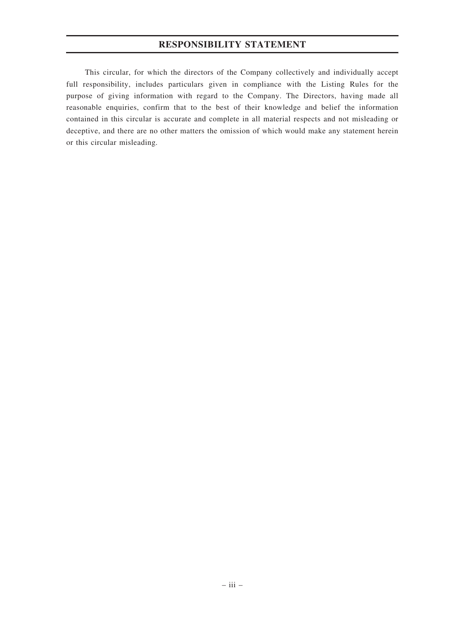## RESPONSIBILITY STATEMENT

This circular, for which the directors of the Company collectively and individually accept full responsibility, includes particulars given in compliance with the Listing Rules for the purpose of giving information with regard to the Company. The Directors, having made all reasonable enquiries, confirm that to the best of their knowledge and belief the information contained in this circular is accurate and complete in all material respects and not misleading or deceptive, and there are no other matters the omission of which would make any statement herein or this circular misleading.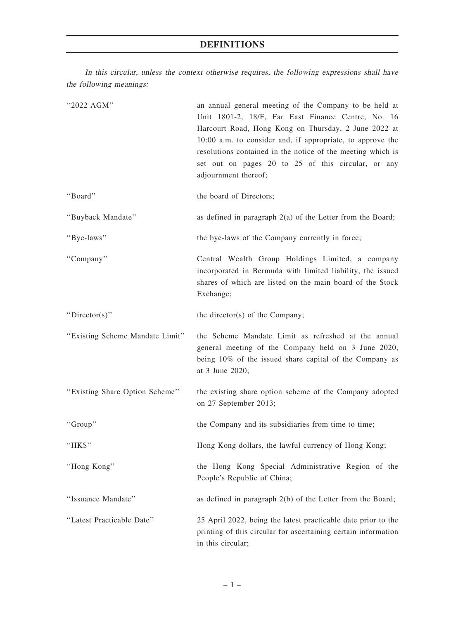# DEFINITIONS

In this circular, unless the context otherwise requires, the following expressions shall have the following meanings:

| "2022 AGM"                      | an annual general meeting of the Company to be held at<br>Unit 1801-2, 18/F, Far East Finance Centre, No. 16<br>Harcourt Road, Hong Kong on Thursday, 2 June 2022 at<br>10:00 a.m. to consider and, if appropriate, to approve the<br>resolutions contained in the notice of the meeting which is<br>set out on pages 20 to 25 of this circular, or any<br>adjournment thereof; |
|---------------------------------|---------------------------------------------------------------------------------------------------------------------------------------------------------------------------------------------------------------------------------------------------------------------------------------------------------------------------------------------------------------------------------|
| "Board"                         | the board of Directors;                                                                                                                                                                                                                                                                                                                                                         |
| "Buyback Mandate"               | as defined in paragraph $2(a)$ of the Letter from the Board;                                                                                                                                                                                                                                                                                                                    |
| "Bye-laws"                      | the bye-laws of the Company currently in force;                                                                                                                                                                                                                                                                                                                                 |
| "Company"                       | Central Wealth Group Holdings Limited, a company<br>incorporated in Bermuda with limited liability, the issued<br>shares of which are listed on the main board of the Stock<br>Exchange;                                                                                                                                                                                        |
| "Director(s)"                   | the director(s) of the Company;                                                                                                                                                                                                                                                                                                                                                 |
| "Existing Scheme Mandate Limit" | the Scheme Mandate Limit as refreshed at the annual<br>general meeting of the Company held on 3 June 2020,<br>being 10% of the issued share capital of the Company as<br>at 3 June 2020;                                                                                                                                                                                        |
| "Existing Share Option Scheme"  | the existing share option scheme of the Company adopted<br>on 27 September 2013;                                                                                                                                                                                                                                                                                                |
| "Group"                         | the Company and its subsidiaries from time to time;                                                                                                                                                                                                                                                                                                                             |
| "HK\$"                          | Hong Kong dollars, the lawful currency of Hong Kong;                                                                                                                                                                                                                                                                                                                            |
| "Hong Kong"                     | the Hong Kong Special Administrative Region of the<br>People's Republic of China;                                                                                                                                                                                                                                                                                               |
| "Issuance Mandate"              | as defined in paragraph 2(b) of the Letter from the Board;                                                                                                                                                                                                                                                                                                                      |
| "Latest Practicable Date"       | 25 April 2022, being the latest practicable date prior to the<br>printing of this circular for ascertaining certain information<br>in this circular;                                                                                                                                                                                                                            |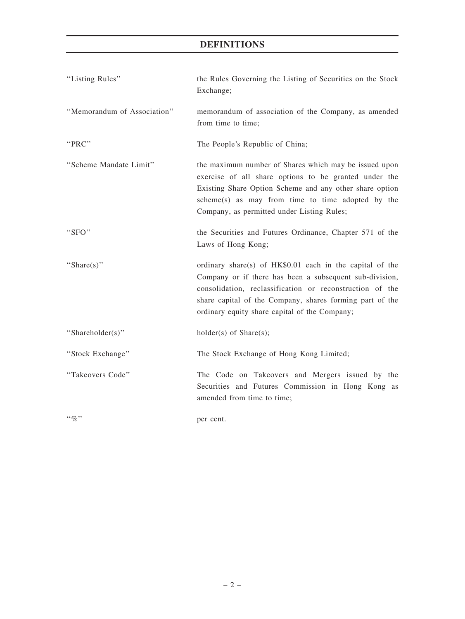## DEFINITIONS

| "Listing Rules"             | the Rules Governing the Listing of Securities on the Stock<br>Exchange;                                                                                                                                                                                                                      |
|-----------------------------|----------------------------------------------------------------------------------------------------------------------------------------------------------------------------------------------------------------------------------------------------------------------------------------------|
| "Memorandum of Association" | memorandum of association of the Company, as amended<br>from time to time;                                                                                                                                                                                                                   |
| "PRC"                       | The People's Republic of China;                                                                                                                                                                                                                                                              |
| "Scheme Mandate Limit"      | the maximum number of Shares which may be issued upon<br>exercise of all share options to be granted under the<br>Existing Share Option Scheme and any other share option<br>scheme(s) as may from time to time adopted by the<br>Company, as permitted under Listing Rules;                 |
| "SFO"                       | the Securities and Futures Ordinance, Chapter 571 of the<br>Laws of Hong Kong;                                                                                                                                                                                                               |
| "Share $(s)$ "              | ordinary share(s) of HK\$0.01 each in the capital of the<br>Company or if there has been a subsequent sub-division,<br>consolidation, reclassification or reconstruction of the<br>share capital of the Company, shares forming part of the<br>ordinary equity share capital of the Company; |
| "Shareholder(s)"            | $holder(s)$ of Share $(s)$ ;                                                                                                                                                                                                                                                                 |
| "Stock Exchange"            | The Stock Exchange of Hong Kong Limited;                                                                                                                                                                                                                                                     |
| "Takeovers Code"            | The Code on Takeovers and Mergers issued by the<br>Securities and Futures Commission in Hong Kong as<br>amended from time to time;                                                                                                                                                           |
| $``\%"$                     | per cent.                                                                                                                                                                                                                                                                                    |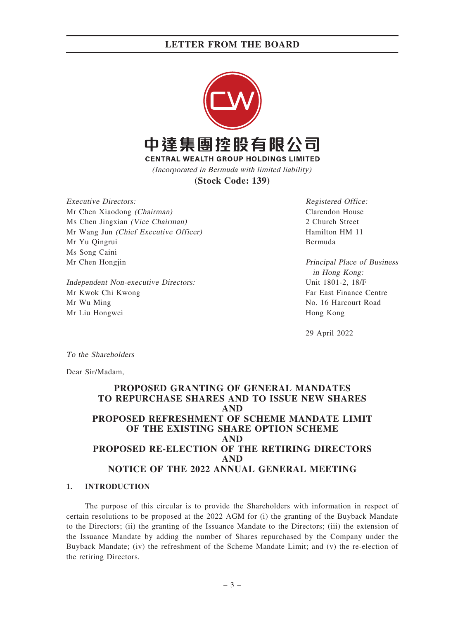

**(Stock Code: 139)**

Executive Directors: Mr Chen Xiaodong (Chairman) Ms Chen Jingxian (Vice Chairman) Mr Wang Jun (Chief Executive Officer) Mr Yu Qingrui Ms Song Caini Mr Chen Hongjin

Independent Non-executive Directors: Mr Kwok Chi Kwong Mr Wu Ming Mr Liu Hongwei

Registered Office: Clarendon House 2 Church Street Hamilton HM 11 Bermuda

Principal Place of Business in Hong Kong: Unit 1801-2, 18/F Far East Finance Centre No. 16 Harcourt Road Hong Kong

29 April 2022

To the Shareholders

Dear Sir/Madam,

## PROPOSED GRANTING OF GENERAL MANDATES TO REPURCHASE SHARES AND TO ISSUE NEW SHARES AND PROPOSED REFRESHMENT OF SCHEME MANDATE LIMIT OF THE EXISTING SHARE OPTION SCHEME AND PROPOSED RE-ELECTION OF THE RETIRING DIRECTORS AND NOTICE OF THE 2022 ANNUAL GENERAL MEETING

### 1. INTRODUCTION

The purpose of this circular is to provide the Shareholders with information in respect of certain resolutions to be proposed at the 2022 AGM for (i) the granting of the Buyback Mandate to the Directors; (ii) the granting of the Issuance Mandate to the Directors; (iii) the extension of the Issuance Mandate by adding the number of Shares repurchased by the Company under the Buyback Mandate; (iv) the refreshment of the Scheme Mandate Limit; and (v) the re-election of the retiring Directors.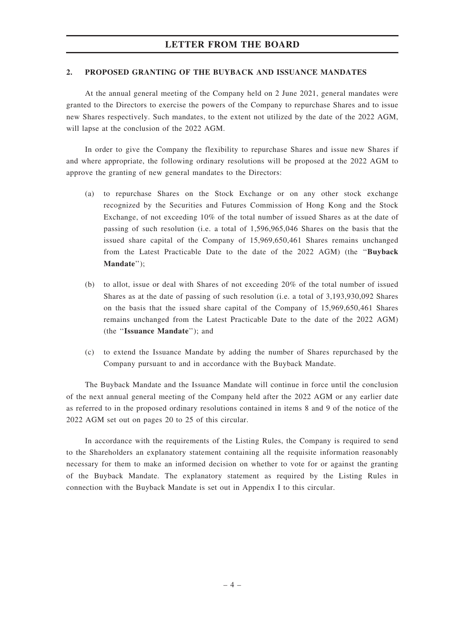#### 2. PROPOSED GRANTING OF THE BUYBACK AND ISSUANCE MANDATES

At the annual general meeting of the Company held on 2 June 2021, general mandates were granted to the Directors to exercise the powers of the Company to repurchase Shares and to issue new Shares respectively. Such mandates, to the extent not utilized by the date of the 2022 AGM, will lapse at the conclusion of the 2022 AGM.

In order to give the Company the flexibility to repurchase Shares and issue new Shares if and where appropriate, the following ordinary resolutions will be proposed at the 2022 AGM to approve the granting of new general mandates to the Directors:

- (a) to repurchase Shares on the Stock Exchange or on any other stock exchange recognized by the Securities and Futures Commission of Hong Kong and the Stock Exchange, of not exceeding 10% of the total number of issued Shares as at the date of passing of such resolution (i.e. a total of 1,596,965,046 Shares on the basis that the issued share capital of the Company of 15,969,650,461 Shares remains unchanged from the Latest Practicable Date to the date of the 2022 AGM) (the ''Buyback Mandate'');
- (b) to allot, issue or deal with Shares of not exceeding 20% of the total number of issued Shares as at the date of passing of such resolution (i.e. a total of 3,193,930,092 Shares on the basis that the issued share capital of the Company of 15,969,650,461 Shares remains unchanged from the Latest Practicable Date to the date of the 2022 AGM) (the ''Issuance Mandate''); and
- (c) to extend the Issuance Mandate by adding the number of Shares repurchased by the Company pursuant to and in accordance with the Buyback Mandate.

The Buyback Mandate and the Issuance Mandate will continue in force until the conclusion of the next annual general meeting of the Company held after the 2022 AGM or any earlier date as referred to in the proposed ordinary resolutions contained in items 8 and 9 of the notice of the 2022 AGM set out on pages 20 to 25 of this circular.

In accordance with the requirements of the Listing Rules, the Company is required to send to the Shareholders an explanatory statement containing all the requisite information reasonably necessary for them to make an informed decision on whether to vote for or against the granting of the Buyback Mandate. The explanatory statement as required by the Listing Rules in connection with the Buyback Mandate is set out in Appendix I to this circular.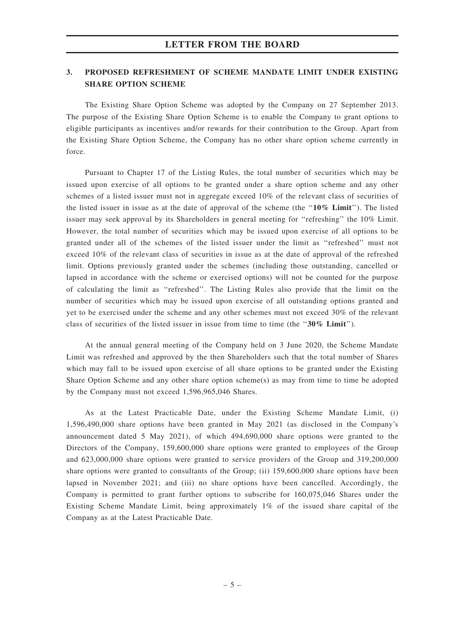### 3. PROPOSED REFRESHMENT OF SCHEME MANDATE LIMIT UNDER EXISTING SHARE OPTION SCHEME

The Existing Share Option Scheme was adopted by the Company on 27 September 2013. The purpose of the Existing Share Option Scheme is to enable the Company to grant options to eligible participants as incentives and/or rewards for their contribution to the Group. Apart from the Existing Share Option Scheme, the Company has no other share option scheme currently in force.

Pursuant to Chapter 17 of the Listing Rules, the total number of securities which may be issued upon exercise of all options to be granted under a share option scheme and any other schemes of a listed issuer must not in aggregate exceed 10% of the relevant class of securities of the listed issuer in issue as at the date of approval of the scheme (the " $10\%$  Limit"). The listed issuer may seek approval by its Shareholders in general meeting for ''refreshing'' the 10% Limit. However, the total number of securities which may be issued upon exercise of all options to be granted under all of the schemes of the listed issuer under the limit as ''refreshed'' must not exceed 10% of the relevant class of securities in issue as at the date of approval of the refreshed limit. Options previously granted under the schemes (including those outstanding, cancelled or lapsed in accordance with the scheme or exercised options) will not be counted for the purpose of calculating the limit as ''refreshed''. The Listing Rules also provide that the limit on the number of securities which may be issued upon exercise of all outstanding options granted and yet to be exercised under the scheme and any other schemes must not exceed 30% of the relevant class of securities of the listed issuer in issue from time to time (the " $30\%$  Limit").

At the annual general meeting of the Company held on 3 June 2020, the Scheme Mandate Limit was refreshed and approved by the then Shareholders such that the total number of Shares which may fall to be issued upon exercise of all share options to be granted under the Existing Share Option Scheme and any other share option scheme(s) as may from time to time be adopted by the Company must not exceed 1,596,965,046 Shares.

As at the Latest Practicable Date, under the Existing Scheme Mandate Limit, (i) 1,596,490,000 share options have been granted in May 2021 (as disclosed in the Company's announcement dated 5 May 2021), of which 494,690,000 share options were granted to the Directors of the Company, 159,600,000 share options were granted to employees of the Group and 623,000,000 share options were granted to service providers of the Group and 319,200,000 share options were granted to consultants of the Group; (ii) 159,600,000 share options have been lapsed in November 2021; and (iii) no share options have been cancelled. Accordingly, the Company is permitted to grant further options to subscribe for 160,075,046 Shares under the Existing Scheme Mandate Limit, being approximately 1% of the issued share capital of the Company as at the Latest Practicable Date.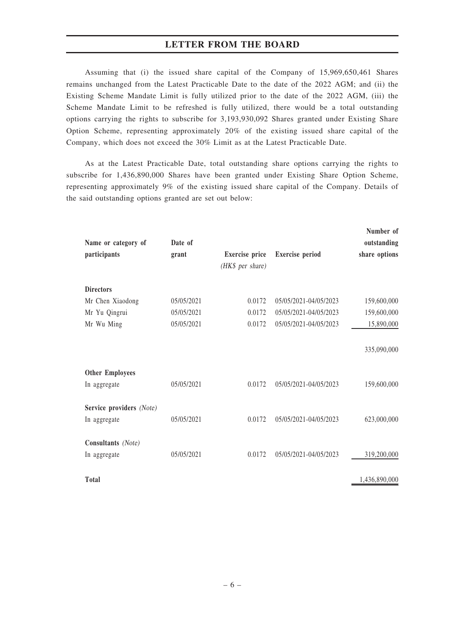Assuming that (i) the issued share capital of the Company of 15,969,650,461 Shares remains unchanged from the Latest Practicable Date to the date of the 2022 AGM; and (ii) the Existing Scheme Mandate Limit is fully utilized prior to the date of the 2022 AGM, (iii) the Scheme Mandate Limit to be refreshed is fully utilized, there would be a total outstanding options carrying the rights to subscribe for 3,193,930,092 Shares granted under Existing Share Option Scheme, representing approximately 20% of the existing issued share capital of the Company, which does not exceed the 30% Limit as at the Latest Practicable Date.

As at the Latest Practicable Date, total outstanding share options carrying the rights to subscribe for 1,436,890,000 Shares have been granted under Existing Share Option Scheme, representing approximately 9% of the existing issued share capital of the Company. Details of the said outstanding options granted are set out below:

| Name or category of<br>participants | Date of<br>grant | Exercise price<br>(HK\$ per share) | <b>Exercise</b> period | Number of<br>outstanding<br>share options |
|-------------------------------------|------------------|------------------------------------|------------------------|-------------------------------------------|
| <b>Directors</b>                    |                  |                                    |                        |                                           |
| Mr Chen Xiaodong                    | 05/05/2021       | 0.0172                             | 05/05/2021-04/05/2023  | 159,600,000                               |
| Mr Yu Qingrui                       | 05/05/2021       | 0.0172                             | 05/05/2021-04/05/2023  | 159,600,000                               |
| Mr Wu Ming                          | 05/05/2021       | 0.0172                             | 05/05/2021-04/05/2023  | 15,890,000                                |
|                                     |                  |                                    |                        | 335,090,000                               |
| <b>Other Employees</b>              |                  |                                    |                        |                                           |
| In aggregate                        | 05/05/2021       | 0.0172                             | 05/05/2021-04/05/2023  | 159,600,000                               |
| Service providers (Note)            |                  |                                    |                        |                                           |
| In aggregate                        | 05/05/2021       | 0.0172                             | 05/05/2021-04/05/2023  | 623,000,000                               |
| Consultants (Note)                  |                  |                                    |                        |                                           |
| In aggregate                        | 05/05/2021       | 0.0172                             | 05/05/2021-04/05/2023  | 319,200,000                               |
| Total                               |                  |                                    |                        | 1,436,890,000                             |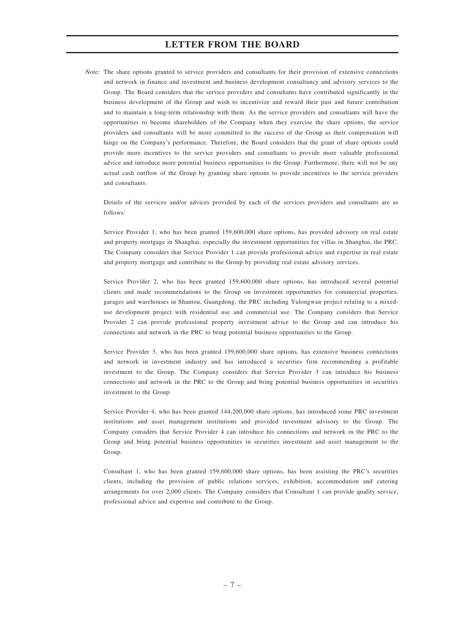Note: The share options granted to service providers and consultants for their provision of extensive connections and network in finance and investment and business development consultancy and advisory services to the Group. The Board considers that the service providers and consultants have contributed significantly in the business development of the Group and wish to incentivize and reward their past and future contribution and to maintain a long-term relationship with them. As the service providers and consultants will have the opportunities to become shareholders of the Company when they exercise the share options, the service providers and consultants will be more committed to the success of the Group as their compensation will hinge on the Company's performance. Therefore, the Board considers that the grant of share options could provide more incentives to the service providers and consultants to provide more valuable professional advice and introduce more potential business opportunities to the Group. Furthermore, there will not be any actual cash outflow of the Group by granting share options to provide incentives to the service providers and consultants.

Details of the services and/or advices provided by each of the services providers and consultants are as follows:

Service Provider 1, who has been granted 159,600,000 share options, has provided advisory on real estate and property mortgage in Shanghai, especially the investment opportunities for villas in Shanghai, the PRC. The Company considers that Service Provider 1 can provide professional advice and expertise in real estate and property mortgage and contribute to the Group by providing real estate advisory services.

Service Provider 2, who has been granted 159,600,000 share options, has introduced several potential clients and made recommendations to the Group on investment opportunities for commercial properties, garages and warehouses in Shantou, Guangdong, the PRC including Yulongwan project relating to a mixeduse development project with residential use and commercial use. The Company considers that Service Provider 2 can provide professional property investment advice to the Group and can introduce his connections and network in the PRC to bring potential business opportunities to the Group.

Service Provider 3, who has been granted 159,600,000 share options, has extensive business connections and network in investment industry and has introduced a securities firm recommending a profitable investment to the Group. The Company considers that Service Provider 3 can introduce his business connections and network in the PRC to the Group and bring potential business opportunities in securities investment to the Group.

Service Provider 4, who has been granted 144,200,000 share options, has introduced some PRC investment institutions and asset management institutions and provided investment advisory to the Group. The Company considers that Service Provider 4 can introduce his connections and network in the PRC to the Group and bring potential business opportunities in securities investment and asset management to the Group.

Consultant 1, who has been granted 159,600,000 share options, has been assisting the PRC's securities clients, including the provision of public relations services, exhibition, accommodation and catering arrangements for over 2,000 clients. The Company considers that Consultant 1 can provide quality service, professional advice and expertise and contribute to the Group.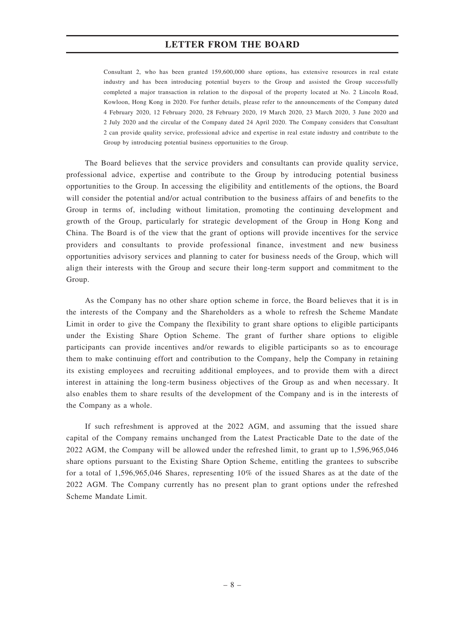Consultant 2, who has been granted 159,600,000 share options, has extensive resources in real estate industry and has been introducing potential buyers to the Group and assisted the Group successfully completed a major transaction in relation to the disposal of the property located at No. 2 Lincoln Road, Kowloon, Hong Kong in 2020. For further details, please refer to the announcements of the Company dated 4 February 2020, 12 February 2020, 28 February 2020, 19 March 2020, 23 March 2020, 3 June 2020 and 2 July 2020 and the circular of the Company dated 24 April 2020. The Company considers that Consultant 2 can provide quality service, professional advice and expertise in real estate industry and contribute to the Group by introducing potential business opportunities to the Group.

The Board believes that the service providers and consultants can provide quality service, professional advice, expertise and contribute to the Group by introducing potential business opportunities to the Group. In accessing the eligibility and entitlements of the options, the Board will consider the potential and/or actual contribution to the business affairs of and benefits to the Group in terms of, including without limitation, promoting the continuing development and growth of the Group, particularly for strategic development of the Group in Hong Kong and China. The Board is of the view that the grant of options will provide incentives for the service providers and consultants to provide professional finance, investment and new business opportunities advisory services and planning to cater for business needs of the Group, which will align their interests with the Group and secure their long-term support and commitment to the Group.

As the Company has no other share option scheme in force, the Board believes that it is in the interests of the Company and the Shareholders as a whole to refresh the Scheme Mandate Limit in order to give the Company the flexibility to grant share options to eligible participants under the Existing Share Option Scheme. The grant of further share options to eligible participants can provide incentives and/or rewards to eligible participants so as to encourage them to make continuing effort and contribution to the Company, help the Company in retaining its existing employees and recruiting additional employees, and to provide them with a direct interest in attaining the long-term business objectives of the Group as and when necessary. It also enables them to share results of the development of the Company and is in the interests of the Company as a whole.

If such refreshment is approved at the 2022 AGM, and assuming that the issued share capital of the Company remains unchanged from the Latest Practicable Date to the date of the 2022 AGM, the Company will be allowed under the refreshed limit, to grant up to 1,596,965,046 share options pursuant to the Existing Share Option Scheme, entitling the grantees to subscribe for a total of 1,596,965,046 Shares, representing 10% of the issued Shares as at the date of the 2022 AGM. The Company currently has no present plan to grant options under the refreshed Scheme Mandate Limit.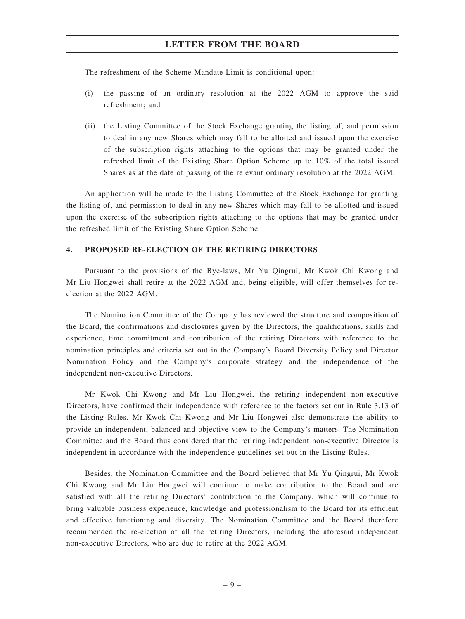The refreshment of the Scheme Mandate Limit is conditional upon:

- (i) the passing of an ordinary resolution at the 2022 AGM to approve the said refreshment; and
- (ii) the Listing Committee of the Stock Exchange granting the listing of, and permission to deal in any new Shares which may fall to be allotted and issued upon the exercise of the subscription rights attaching to the options that may be granted under the refreshed limit of the Existing Share Option Scheme up to 10% of the total issued Shares as at the date of passing of the relevant ordinary resolution at the 2022 AGM.

An application will be made to the Listing Committee of the Stock Exchange for granting the listing of, and permission to deal in any new Shares which may fall to be allotted and issued upon the exercise of the subscription rights attaching to the options that may be granted under the refreshed limit of the Existing Share Option Scheme.

#### 4. PROPOSED RE-ELECTION OF THE RETIRING DIRECTORS

Pursuant to the provisions of the Bye-laws, Mr Yu Qingrui, Mr Kwok Chi Kwong and Mr Liu Hongwei shall retire at the 2022 AGM and, being eligible, will offer themselves for reelection at the 2022 AGM.

The Nomination Committee of the Company has reviewed the structure and composition of the Board, the confirmations and disclosures given by the Directors, the qualifications, skills and experience, time commitment and contribution of the retiring Directors with reference to the nomination principles and criteria set out in the Company's Board Diversity Policy and Director Nomination Policy and the Company's corporate strategy and the independence of the independent non-executive Directors.

Mr Kwok Chi Kwong and Mr Liu Hongwei, the retiring independent non-executive Directors, have confirmed their independence with reference to the factors set out in Rule 3.13 of the Listing Rules. Mr Kwok Chi Kwong and Mr Liu Hongwei also demonstrate the ability to provide an independent, balanced and objective view to the Company's matters. The Nomination Committee and the Board thus considered that the retiring independent non-executive Director is independent in accordance with the independence guidelines set out in the Listing Rules.

Besides, the Nomination Committee and the Board believed that Mr Yu Qingrui, Mr Kwok Chi Kwong and Mr Liu Hongwei will continue to make contribution to the Board and are satisfied with all the retiring Directors' contribution to the Company, which will continue to bring valuable business experience, knowledge and professionalism to the Board for its efficient and effective functioning and diversity. The Nomination Committee and the Board therefore recommended the re-election of all the retiring Directors, including the aforesaid independent non-executive Directors, who are due to retire at the 2022 AGM.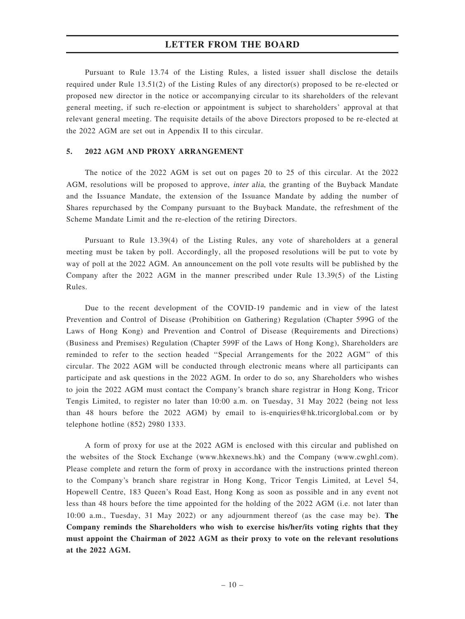Pursuant to Rule 13.74 of the Listing Rules, a listed issuer shall disclose the details required under Rule 13.51(2) of the Listing Rules of any director(s) proposed to be re-elected or proposed new director in the notice or accompanying circular to its shareholders of the relevant general meeting, if such re-election or appointment is subject to shareholders' approval at that relevant general meeting. The requisite details of the above Directors proposed to be re-elected at the 2022 AGM are set out in Appendix II to this circular.

#### 5. 2022 AGM AND PROXY ARRANGEMENT

The notice of the 2022 AGM is set out on pages 20 to 25 of this circular. At the 2022 AGM, resolutions will be proposed to approve, inter alia, the granting of the Buyback Mandate and the Issuance Mandate, the extension of the Issuance Mandate by adding the number of Shares repurchased by the Company pursuant to the Buyback Mandate, the refreshment of the Scheme Mandate Limit and the re-election of the retiring Directors.

Pursuant to Rule 13.39(4) of the Listing Rules, any vote of shareholders at a general meeting must be taken by poll. Accordingly, all the proposed resolutions will be put to vote by way of poll at the 2022 AGM. An announcement on the poll vote results will be published by the Company after the 2022 AGM in the manner prescribed under Rule 13.39(5) of the Listing Rules.

Due to the recent development of the COVID-19 pandemic and in view of the latest Prevention and Control of Disease (Prohibition on Gathering) Regulation (Chapter 599G of the Laws of Hong Kong) and Prevention and Control of Disease (Requirements and Directions) (Business and Premises) Regulation (Chapter 599F of the Laws of Hong Kong), Shareholders are reminded to refer to the section headed ''Special Arrangements for the 2022 AGM'' of this circular. The 2022 AGM will be conducted through electronic means where all participants can participate and ask questions in the 2022 AGM. In order to do so, any Shareholders who wishes to join the 2022 AGM must contact the Company's branch share registrar in Hong Kong, Tricor Tengis Limited, to register no later than 10:00 a.m. on Tuesday, 31 May 2022 (being not less than 48 hours before the 2022 AGM) by email to is-enquiries@hk.tricorglobal.com or by telephone hotline (852) 2980 1333.

A form of proxy for use at the 2022 AGM is enclosed with this circular and published on the websites of the Stock Exchange (www.hkexnews.hk) and the Company (www.cwghl.com). Please complete and return the form of proxy in accordance with the instructions printed thereon to the Company's branch share registrar in Hong Kong, Tricor Tengis Limited, at Level 54, Hopewell Centre, 183 Queen's Road East, Hong Kong as soon as possible and in any event not less than 48 hours before the time appointed for the holding of the 2022 AGM (i.e. not later than 10:00 a.m., Tuesday, 31 May 2022) or any adjournment thereof (as the case may be). The Company reminds the Shareholders who wish to exercise his/her/its voting rights that they must appoint the Chairman of 2022 AGM as their proxy to vote on the relevant resolutions at the 2022 AGM.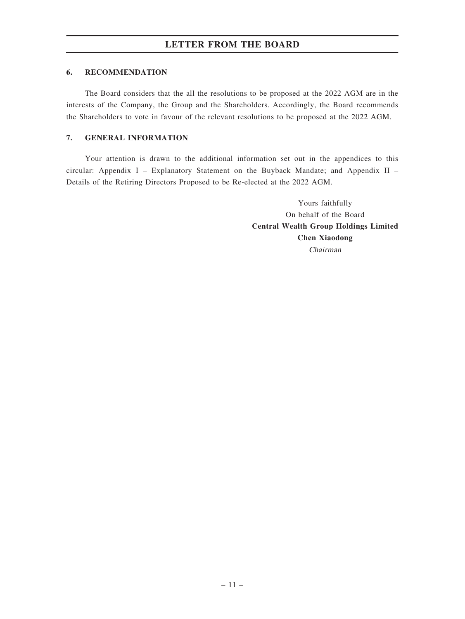#### 6. RECOMMENDATION

The Board considers that the all the resolutions to be proposed at the 2022 AGM are in the interests of the Company, the Group and the Shareholders. Accordingly, the Board recommends the Shareholders to vote in favour of the relevant resolutions to be proposed at the 2022 AGM.

### 7. GENERAL INFORMATION

Your attention is drawn to the additional information set out in the appendices to this circular: Appendix I – Explanatory Statement on the Buyback Mandate; and Appendix II – Details of the Retiring Directors Proposed to be Re-elected at the 2022 AGM.

> Yours faithfully On behalf of the Board Central Wealth Group Holdings Limited Chen Xiaodong Chairman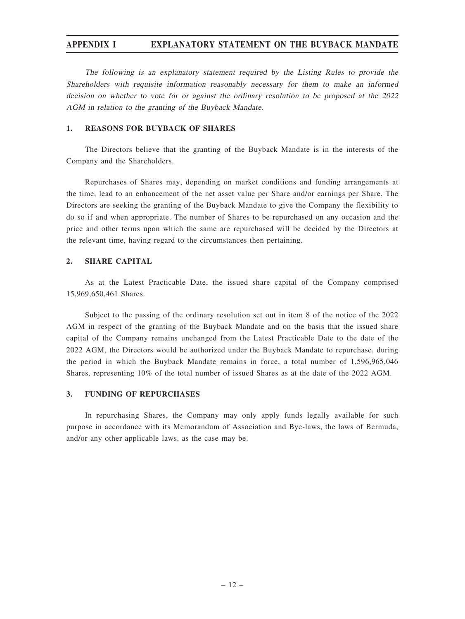## APPENDIX I EXPLANATORY STATEMENT ON THE BUYBACK MANDATE

The following is an explanatory statement required by the Listing Rules to provide the Shareholders with requisite information reasonably necessary for them to make an informed decision on whether to vote for or against the ordinary resolution to be proposed at the 2022 AGM in relation to the granting of the Buyback Mandate.

#### 1. REASONS FOR BUYBACK OF SHARES

The Directors believe that the granting of the Buyback Mandate is in the interests of the Company and the Shareholders.

Repurchases of Shares may, depending on market conditions and funding arrangements at the time, lead to an enhancement of the net asset value per Share and/or earnings per Share. The Directors are seeking the granting of the Buyback Mandate to give the Company the flexibility to do so if and when appropriate. The number of Shares to be repurchased on any occasion and the price and other terms upon which the same are repurchased will be decided by the Directors at the relevant time, having regard to the circumstances then pertaining.

### 2. SHARE CAPITAL

As at the Latest Practicable Date, the issued share capital of the Company comprised 15,969,650,461 Shares.

Subject to the passing of the ordinary resolution set out in item 8 of the notice of the 2022 AGM in respect of the granting of the Buyback Mandate and on the basis that the issued share capital of the Company remains unchanged from the Latest Practicable Date to the date of the 2022 AGM, the Directors would be authorized under the Buyback Mandate to repurchase, during the period in which the Buyback Mandate remains in force, a total number of 1,596,965,046 Shares, representing 10% of the total number of issued Shares as at the date of the 2022 AGM.

#### 3. FUNDING OF REPURCHASES

In repurchasing Shares, the Company may only apply funds legally available for such purpose in accordance with its Memorandum of Association and Bye-laws, the laws of Bermuda, and/or any other applicable laws, as the case may be.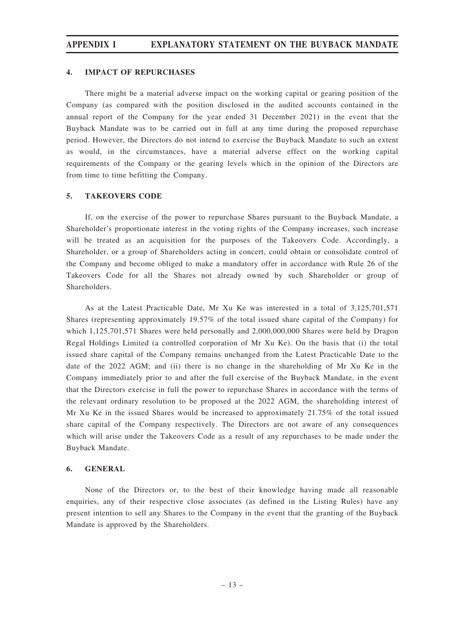# APPENDIX I EXPLANATORY STATEMENT ON THE BUYBACK MANDATE

#### 4. IMPACT OF REPURCHASES

There might be a material adverse impact on the working capital or gearing position of the Company (as compared with the position disclosed in the audited accounts contained in the annual report of the Company for the year ended 31 December 2021) in the event that the Buyback Mandate was to be carried out in full at any time during the proposed repurchase period. However, the Directors do not intend to exercise the Buyback Mandate to such an extent as would, in the circumstances, have a material adverse effect on the working capital requirements of the Company or the gearing levels which in the opinion of the Directors are from time to time befitting the Company.

#### 5. TAKEOVERS CODE

If, on the exercise of the power to repurchase Shares pursuant to the Buyback Mandate, a Shareholder's proportionate interest in the voting rights of the Company increases, such increase will be treated as an acquisition for the purposes of the Takeovers Code. Accordingly, a Shareholder, or a group of Shareholders acting in concert, could obtain or consolidate control of the Company and become obliged to make a mandatory offer in accordance with Rule 26 of the Takeovers Code for all the Shares not already owned by such Shareholder or group of Shareholders.

As at the Latest Practicable Date, Mr Xu Ke was interested in a total of 3,125,701,571 Shares (representing approximately 19.57% of the total issued share capital of the Company) for which 1,125,701,571 Shares were held personally and 2,000,000,000 Shares were held by Dragon Regal Holdings Limited (a controlled corporation of Mr Xu Ke). On the basis that (i) the total issued share capital of the Company remains unchanged from the Latest Practicable Date to the date of the 2022 AGM; and (ii) there is no change in the shareholding of Mr Xu Ke in the Company immediately prior to and after the full exercise of the Buyback Mandate, in the event that the Directors exercise in full the power to repurchase Shares in accordance with the terms of the relevant ordinary resolution to be proposed at the 2022 AGM, the shareholding interest of Mr Xu Ke in the issued Shares would be increased to approximately 21.75% of the total issued share capital of the Company respectively. The Directors are not aware of any consequences which will arise under the Takeovers Code as a result of any repurchases to be made under the Buyback Mandate.

#### 6. GENERAL

None of the Directors or, to the best of their knowledge having made all reasonable enquiries, any of their respective close associates (as defined in the Listing Rules) have any present intention to sell any Shares to the Company in the event that the granting of the Buyback Mandate is approved by the Shareholders.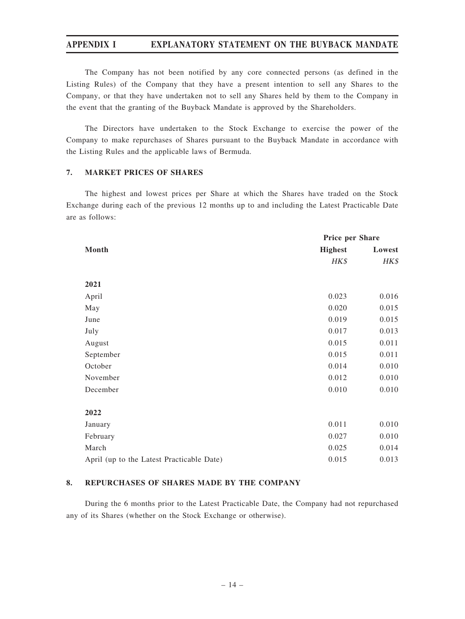## APPENDIX I EXPLANATORY STATEMENT ON THE BUYBACK MANDATE

The Company has not been notified by any core connected persons (as defined in the Listing Rules) of the Company that they have a present intention to sell any Shares to the Company, or that they have undertaken not to sell any Shares held by them to the Company in the event that the granting of the Buyback Mandate is approved by the Shareholders.

The Directors have undertaken to the Stock Exchange to exercise the power of the Company to make repurchases of Shares pursuant to the Buyback Mandate in accordance with the Listing Rules and the applicable laws of Bermuda.

### 7. MARKET PRICES OF SHARES

The highest and lowest prices per Share at which the Shares have traded on the Stock Exchange during each of the previous 12 months up to and including the Latest Practicable Date are as follows:

|                                           | Price per Share |        |
|-------------------------------------------|-----------------|--------|
| Month                                     | <b>Highest</b>  | Lowest |
|                                           | HK\$            | HK\$   |
|                                           |                 |        |
| 2021                                      |                 |        |
| April                                     | 0.023           | 0.016  |
| May                                       | 0.020           | 0.015  |
| June                                      | 0.019           | 0.015  |
| July                                      | 0.017           | 0.013  |
| August                                    | 0.015           | 0.011  |
| September                                 | 0.015           | 0.011  |
| October                                   | 0.014           | 0.010  |
| November                                  | 0.012           | 0.010  |
| December                                  | 0.010           | 0.010  |
|                                           |                 |        |
| 2022                                      |                 |        |
| January                                   | 0.011           | 0.010  |
| February                                  | 0.027           | 0.010  |
| March                                     | 0.025           | 0.014  |
| April (up to the Latest Practicable Date) | 0.015           | 0.013  |

#### 8. REPURCHASES OF SHARES MADE BY THE COMPANY

During the 6 months prior to the Latest Practicable Date, the Company had not repurchased any of its Shares (whether on the Stock Exchange or otherwise).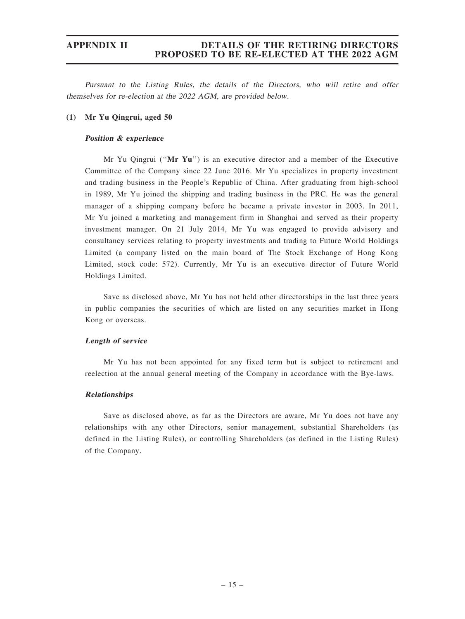Pursuant to the Listing Rules, the details of the Directors, who will retire and offer themselves for re-election at the 2022 AGM, are provided below.

### (1) Mr Yu Qingrui, aged 50

### Position & experience

Mr Yu Qingrui (" $Mr$  Yu") is an executive director and a member of the Executive Committee of the Company since 22 June 2016. Mr Yu specializes in property investment and trading business in the People's Republic of China. After graduating from high-school in 1989, Mr Yu joined the shipping and trading business in the PRC. He was the general manager of a shipping company before he became a private investor in 2003. In 2011, Mr Yu joined a marketing and management firm in Shanghai and served as their property investment manager. On 21 July 2014, Mr Yu was engaged to provide advisory and consultancy services relating to property investments and trading to Future World Holdings Limited (a company listed on the main board of The Stock Exchange of Hong Kong Limited, stock code: 572). Currently, Mr Yu is an executive director of Future World Holdings Limited.

Save as disclosed above, Mr Yu has not held other directorships in the last three years in public companies the securities of which are listed on any securities market in Hong Kong or overseas.

#### Length of service

Mr Yu has not been appointed for any fixed term but is subject to retirement and reelection at the annual general meeting of the Company in accordance with the Bye-laws.

#### Relationships

Save as disclosed above, as far as the Directors are aware, Mr Yu does not have any relationships with any other Directors, senior management, substantial Shareholders (as defined in the Listing Rules), or controlling Shareholders (as defined in the Listing Rules) of the Company.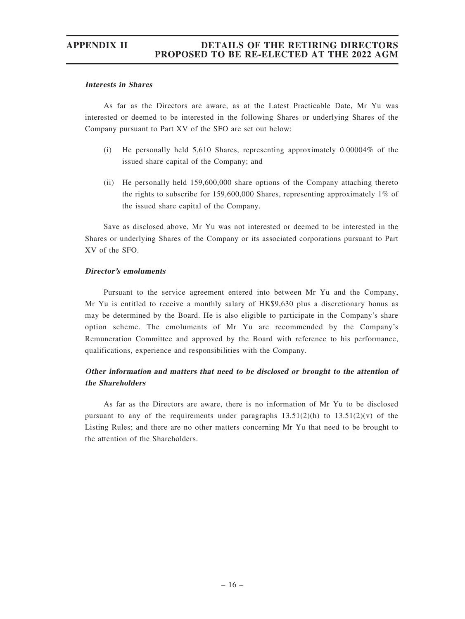#### Interests in Shares

As far as the Directors are aware, as at the Latest Practicable Date, Mr Yu was interested or deemed to be interested in the following Shares or underlying Shares of the Company pursuant to Part XV of the SFO are set out below:

- (i) He personally held 5,610 Shares, representing approximately 0.00004% of the issued share capital of the Company; and
- (ii) He personally held 159,600,000 share options of the Company attaching thereto the rights to subscribe for 159,600,000 Shares, representing approximately 1% of the issued share capital of the Company.

Save as disclosed above, Mr Yu was not interested or deemed to be interested in the Shares or underlying Shares of the Company or its associated corporations pursuant to Part XV of the SFO.

#### Director'<sup>s</sup> emoluments

Pursuant to the service agreement entered into between Mr Yu and the Company, Mr Yu is entitled to receive a monthly salary of HK\$9,630 plus a discretionary bonus as may be determined by the Board. He is also eligible to participate in the Company's share option scheme. The emoluments of Mr Yu are recommended by the Company's Remuneration Committee and approved by the Board with reference to his performance, qualifications, experience and responsibilities with the Company.

## Other information and matters that need to be disclosed or brought to the attention of the Shareholders

As far as the Directors are aware, there is no information of Mr Yu to be disclosed pursuant to any of the requirements under paragraphs  $13.51(2)(h)$  to  $13.51(2)(v)$  of the Listing Rules; and there are no other matters concerning Mr Yu that need to be brought to the attention of the Shareholders.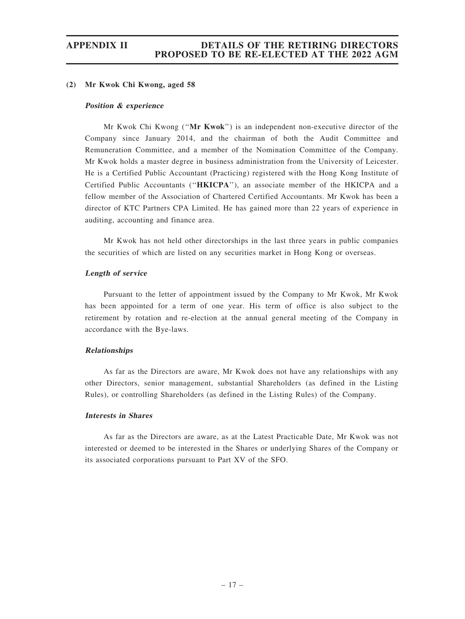#### (2) Mr Kwok Chi Kwong, aged 58

#### Position & experience

Mr Kwok Chi Kwong (''Mr Kwok'') is an independent non-executive director of the Company since January 2014, and the chairman of both the Audit Committee and Remuneration Committee, and a member of the Nomination Committee of the Company. Mr Kwok holds a master degree in business administration from the University of Leicester. He is a Certified Public Accountant (Practicing) registered with the Hong Kong Institute of Certified Public Accountants (''HKICPA''), an associate member of the HKICPA and a fellow member of the Association of Chartered Certified Accountants. Mr Kwok has been a director of KTC Partners CPA Limited. He has gained more than 22 years of experience in auditing, accounting and finance area.

Mr Kwok has not held other directorships in the last three years in public companies the securities of which are listed on any securities market in Hong Kong or overseas.

#### Length of service

Pursuant to the letter of appointment issued by the Company to Mr Kwok, Mr Kwok has been appointed for a term of one year. His term of office is also subject to the retirement by rotation and re-election at the annual general meeting of the Company in accordance with the Bye-laws.

#### Relationships

As far as the Directors are aware, Mr Kwok does not have any relationships with any other Directors, senior management, substantial Shareholders (as defined in the Listing Rules), or controlling Shareholders (as defined in the Listing Rules) of the Company.

#### Interests in Shares

As far as the Directors are aware, as at the Latest Practicable Date, Mr Kwok was not interested or deemed to be interested in the Shares or underlying Shares of the Company or its associated corporations pursuant to Part XV of the SFO.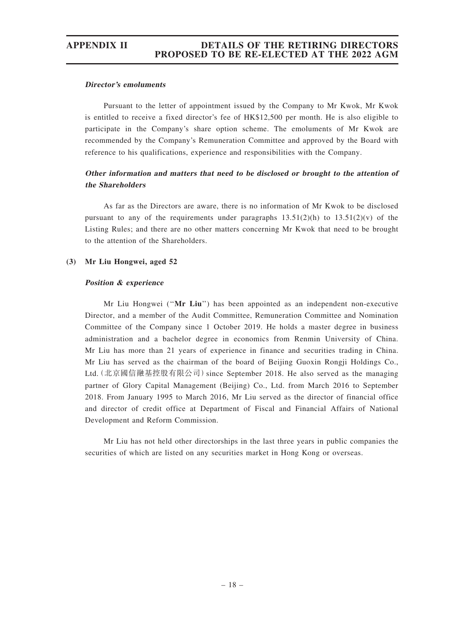#### Director'<sup>s</sup> emoluments

Pursuant to the letter of appointment issued by the Company to Mr Kwok, Mr Kwok is entitled to receive a fixed director's fee of HK\$12,500 per month. He is also eligible to participate in the Company's share option scheme. The emoluments of Mr Kwok are recommended by the Company's Remuneration Committee and approved by the Board with reference to his qualifications, experience and responsibilities with the Company.

### Other information and matters that need to be disclosed or brought to the attention of the Shareholders

As far as the Directors are aware, there is no information of Mr Kwok to be disclosed pursuant to any of the requirements under paragraphs  $13.51(2)(h)$  to  $13.51(2)(v)$  of the Listing Rules; and there are no other matters concerning Mr Kwok that need to be brought to the attention of the Shareholders.

#### (3) Mr Liu Hongwei, aged 52

#### Position & experience

Mr Liu Hongwei (''Mr Liu'') has been appointed as an independent non-executive Director, and a member of the Audit Committee, Remuneration Committee and Nomination Committee of the Company since 1 October 2019. He holds a master degree in business administration and a bachelor degree in economics from Renmin University of China. Mr Liu has more than 21 years of experience in finance and securities trading in China. Mr Liu has served as the chairman of the board of Beijing Guoxin Rongji Holdings Co., Ltd. (北京國信融基控股有限公司) since September 2018. He also served as the managing partner of Glory Capital Management (Beijing) Co., Ltd. from March 2016 to September 2018. From January 1995 to March 2016, Mr Liu served as the director of financial office and director of credit office at Department of Fiscal and Financial Affairs of National Development and Reform Commission.

Mr Liu has not held other directorships in the last three years in public companies the securities of which are listed on any securities market in Hong Kong or overseas.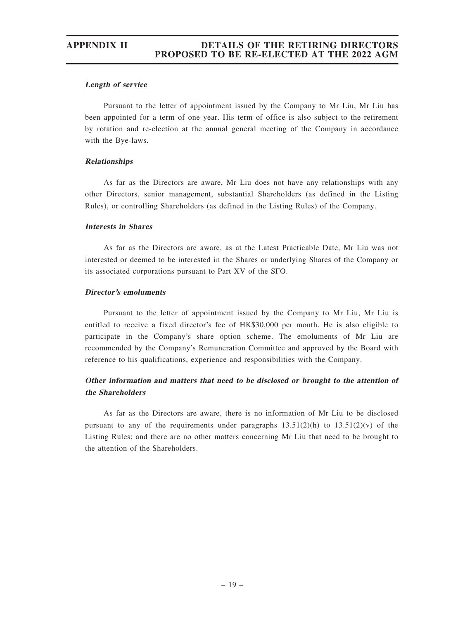#### Length of service

Pursuant to the letter of appointment issued by the Company to Mr Liu, Mr Liu has been appointed for a term of one year. His term of office is also subject to the retirement by rotation and re-election at the annual general meeting of the Company in accordance with the Bye-laws.

### Relationships

As far as the Directors are aware, Mr Liu does not have any relationships with any other Directors, senior management, substantial Shareholders (as defined in the Listing Rules), or controlling Shareholders (as defined in the Listing Rules) of the Company.

### Interests in Shares

As far as the Directors are aware, as at the Latest Practicable Date, Mr Liu was not interested or deemed to be interested in the Shares or underlying Shares of the Company or its associated corporations pursuant to Part XV of the SFO.

### Director'<sup>s</sup> emoluments

Pursuant to the letter of appointment issued by the Company to Mr Liu, Mr Liu is entitled to receive a fixed director's fee of HK\$30,000 per month. He is also eligible to participate in the Company's share option scheme. The emoluments of Mr Liu are recommended by the Company's Remuneration Committee and approved by the Board with reference to his qualifications, experience and responsibilities with the Company.

## Other information and matters that need to be disclosed or brought to the attention of the Shareholders

As far as the Directors are aware, there is no information of Mr Liu to be disclosed pursuant to any of the requirements under paragraphs  $13.51(2)(h)$  to  $13.51(2)(v)$  of the Listing Rules; and there are no other matters concerning Mr Liu that need to be brought to the attention of the Shareholders.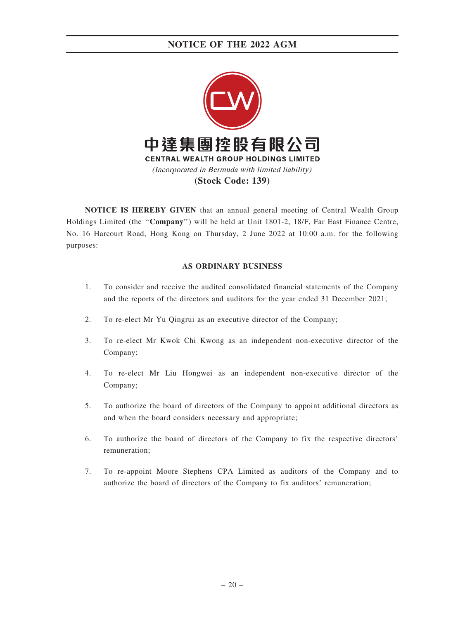

NOTICE IS HEREBY GIVEN that an annual general meeting of Central Wealth Group Holdings Limited (the "Company") will be held at Unit 1801-2, 18/F, Far East Finance Centre, No. 16 Harcourt Road, Hong Kong on Thursday, 2 June 2022 at 10:00 a.m. for the following purposes:

#### AS ORDINARY BUSINESS

- 1. To consider and receive the audited consolidated financial statements of the Company and the reports of the directors and auditors for the year ended 31 December 2021;
- 2. To re-elect Mr Yu Qingrui as an executive director of the Company;
- 3. To re-elect Mr Kwok Chi Kwong as an independent non-executive director of the Company;
- 4. To re-elect Mr Liu Hongwei as an independent non-executive director of the Company;
- 5. To authorize the board of directors of the Company to appoint additional directors as and when the board considers necessary and appropriate;
- 6. To authorize the board of directors of the Company to fix the respective directors' remuneration;
- 7. To re-appoint Moore Stephens CPA Limited as auditors of the Company and to authorize the board of directors of the Company to fix auditors' remuneration;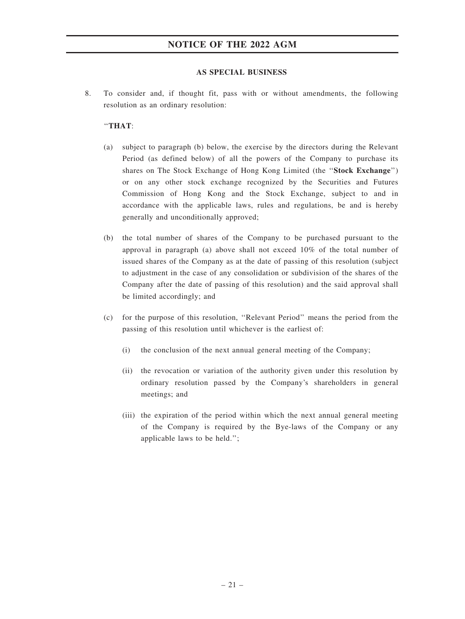#### AS SPECIAL BUSINESS

8. To consider and, if thought fit, pass with or without amendments, the following resolution as an ordinary resolution:

### ''THAT:

- (a) subject to paragraph (b) below, the exercise by the directors during the Relevant Period (as defined below) of all the powers of the Company to purchase its shares on The Stock Exchange of Hong Kong Limited (the ''Stock Exchange'') or on any other stock exchange recognized by the Securities and Futures Commission of Hong Kong and the Stock Exchange, subject to and in accordance with the applicable laws, rules and regulations, be and is hereby generally and unconditionally approved;
- (b) the total number of shares of the Company to be purchased pursuant to the approval in paragraph (a) above shall not exceed 10% of the total number of issued shares of the Company as at the date of passing of this resolution (subject to adjustment in the case of any consolidation or subdivision of the shares of the Company after the date of passing of this resolution) and the said approval shall be limited accordingly; and
- (c) for the purpose of this resolution, ''Relevant Period'' means the period from the passing of this resolution until whichever is the earliest of:
	- (i) the conclusion of the next annual general meeting of the Company;
	- (ii) the revocation or variation of the authority given under this resolution by ordinary resolution passed by the Company's shareholders in general meetings; and
	- (iii) the expiration of the period within which the next annual general meeting of the Company is required by the Bye-laws of the Company or any applicable laws to be held.'';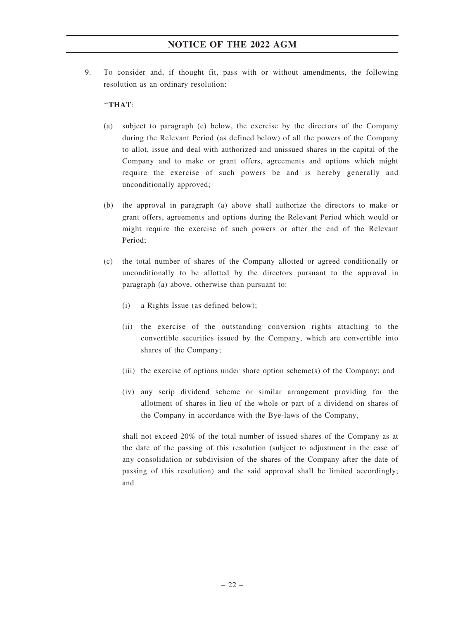9. To consider and, if thought fit, pass with or without amendments, the following resolution as an ordinary resolution:

### ''THAT:

- (a) subject to paragraph (c) below, the exercise by the directors of the Company during the Relevant Period (as defined below) of all the powers of the Company to allot, issue and deal with authorized and unissued shares in the capital of the Company and to make or grant offers, agreements and options which might require the exercise of such powers be and is hereby generally and unconditionally approved;
- (b) the approval in paragraph (a) above shall authorize the directors to make or grant offers, agreements and options during the Relevant Period which would or might require the exercise of such powers or after the end of the Relevant Period;
- (c) the total number of shares of the Company allotted or agreed conditionally or unconditionally to be allotted by the directors pursuant to the approval in paragraph (a) above, otherwise than pursuant to:
	- (i) a Rights Issue (as defined below);
	- (ii) the exercise of the outstanding conversion rights attaching to the convertible securities issued by the Company, which are convertible into shares of the Company;
	- (iii) the exercise of options under share option scheme(s) of the Company; and
	- (iv) any scrip dividend scheme or similar arrangement providing for the allotment of shares in lieu of the whole or part of a dividend on shares of the Company in accordance with the Bye-laws of the Company,

shall not exceed 20% of the total number of issued shares of the Company as at the date of the passing of this resolution (subject to adjustment in the case of any consolidation or subdivision of the shares of the Company after the date of passing of this resolution) and the said approval shall be limited accordingly; and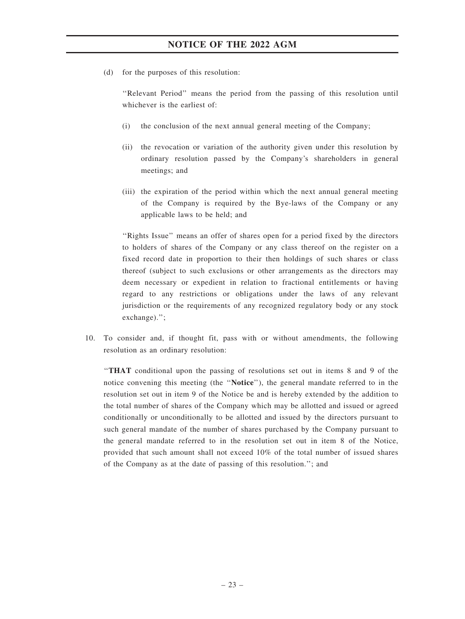(d) for the purposes of this resolution:

''Relevant Period'' means the period from the passing of this resolution until whichever is the earliest of:

- (i) the conclusion of the next annual general meeting of the Company;
- (ii) the revocation or variation of the authority given under this resolution by ordinary resolution passed by the Company's shareholders in general meetings; and
- (iii) the expiration of the period within which the next annual general meeting of the Company is required by the Bye-laws of the Company or any applicable laws to be held; and

''Rights Issue'' means an offer of shares open for a period fixed by the directors to holders of shares of the Company or any class thereof on the register on a fixed record date in proportion to their then holdings of such shares or class thereof (subject to such exclusions or other arrangements as the directors may deem necessary or expedient in relation to fractional entitlements or having regard to any restrictions or obligations under the laws of any relevant jurisdiction or the requirements of any recognized regulatory body or any stock exchange).'';

10. To consider and, if thought fit, pass with or without amendments, the following resolution as an ordinary resolution:

''THAT conditional upon the passing of resolutions set out in items 8 and 9 of the notice convening this meeting (the ''Notice''), the general mandate referred to in the resolution set out in item 9 of the Notice be and is hereby extended by the addition to the total number of shares of the Company which may be allotted and issued or agreed conditionally or unconditionally to be allotted and issued by the directors pursuant to such general mandate of the number of shares purchased by the Company pursuant to the general mandate referred to in the resolution set out in item 8 of the Notice, provided that such amount shall not exceed 10% of the total number of issued shares of the Company as at the date of passing of this resolution.''; and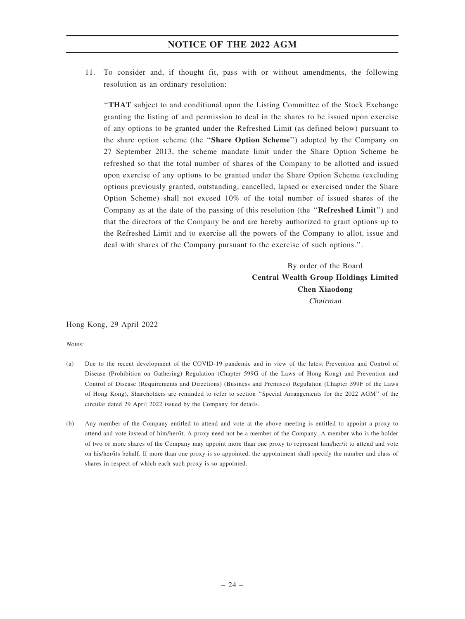11. To consider and, if thought fit, pass with or without amendments, the following resolution as an ordinary resolution:

''THAT subject to and conditional upon the Listing Committee of the Stock Exchange granting the listing of and permission to deal in the shares to be issued upon exercise of any options to be granted under the Refreshed Limit (as defined below) pursuant to the share option scheme (the ''Share Option Scheme'') adopted by the Company on 27 September 2013, the scheme mandate limit under the Share Option Scheme be refreshed so that the total number of shares of the Company to be allotted and issued upon exercise of any options to be granted under the Share Option Scheme (excluding options previously granted, outstanding, cancelled, lapsed or exercised under the Share Option Scheme) shall not exceed 10% of the total number of issued shares of the Company as at the date of the passing of this resolution (the "Refreshed Limit") and that the directors of the Company be and are hereby authorized to grant options up to the Refreshed Limit and to exercise all the powers of the Company to allot, issue and deal with shares of the Company pursuant to the exercise of such options.''.

> By order of the Board Central Wealth Group Holdings Limited Chen Xiaodong Chairman

Hong Kong, 29 April 2022

Notes:

- (a) Due to the recent development of the COVID-19 pandemic and in view of the latest Prevention and Control of Disease (Prohibition on Gathering) Regulation (Chapter 599G of the Laws of Hong Kong) and Prevention and Control of Disease (Requirements and Directions) (Business and Premises) Regulation (Chapter 599F of the Laws of Hong Kong), Shareholders are reminded to refer to section ''Special Arrangements for the 2022 AGM'' of the circular dated 29 April 2022 issued by the Company for details.
- (b) Any member of the Company entitled to attend and vote at the above meeting is entitled to appoint a proxy to attend and vote instead of him/her/it. A proxy need not be a member of the Company. A member who is the holder of two or more shares of the Company may appoint more than one proxy to represent him/her/it to attend and vote on his/her/its behalf. If more than one proxy is so appointed, the appointment shall specify the number and class of shares in respect of which each such proxy is so appointed.